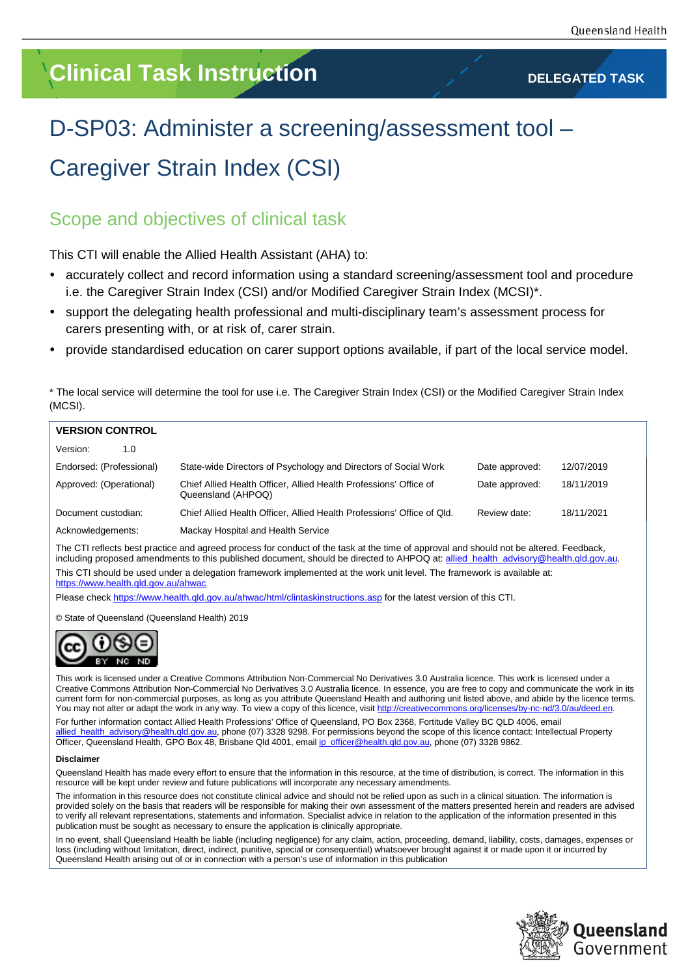# **Clinical Task Instruction DELEGATED TASK**

# D-SP03: Administer a screening/assessment tool – Caregiver Strain Index (CSI)

## Scope and objectives of clinical task

This CTI will enable the Allied Health Assistant (AHA) to:

- accurately collect and record information using a standard screening/assessment tool and procedure i.e. the Caregiver Strain Index (CSI) and/or Modified Caregiver Strain Index (MCSI)\*.
- support the delegating health professional and multi-disciplinary team's assessment process for carers presenting with, or at risk of, carer strain.
- provide standardised education on carer support options available, if part of the local service model.

\* The local service will determine the tool for use i.e. The Caregiver Strain Index (CSI) or the Modified Caregiver Strain Index (MCSI).

| <b>VERSION CONTROL</b>   |                                                                                         |                |            |  |  |
|--------------------------|-----------------------------------------------------------------------------------------|----------------|------------|--|--|
| Version:<br>1.0          |                                                                                         |                |            |  |  |
| Endorsed: (Professional) | State-wide Directors of Psychology and Directors of Social Work                         | Date approved: | 12/07/2019 |  |  |
| Approved: (Operational)  | Chief Allied Health Officer, Allied Health Professions' Office of<br>Queensland (AHPOQ) | Date approved: | 18/11/2019 |  |  |
| Document custodian:      | Chief Allied Health Officer, Allied Health Professions' Office of Qld.                  | Review date:   | 18/11/2021 |  |  |
| Acknowledgements:        | Mackay Hospital and Health Service                                                      |                |            |  |  |

The CTI reflects best practice and agreed process for conduct of the task at the time of approval and should not be altered. Feedback, including proposed amendments to this published document, should be directed to AHPOQ at: allied\_health\_advisory@health.qld.gov.au. This CTI should be used under a delegation framework implemented at the work unit level. The framework is available at: <https://www.health.qld.gov.au/ahwac>

Please check <https://www.health.qld.gov.au/ahwac/html/clintaskinstructions.asp> for the latest version of this CTI.

© State of Queensland (Queensland Health) 2019



This work is licensed under a Creative Commons Attribution Non-Commercial No Derivatives 3.0 Australia licence. This work is licensed under a Creative Commons Attribution Non-Commercial No Derivatives 3.0 Australia licence. In essence, you are free to copy and communicate the work in its current form for non-commercial purposes, as long as you attribute Queensland Health and authoring unit listed above, and abide by the licence terms. You may not alter or adapt the work in any way. To view a copy of this licence, visit http://creative

For further information contact Allied Health Professions' Office of Queensland, PO Box 2368, Fortitude Valley BC QLD 4006, email llied\_health\_advisory@health.qld.gov.au, phone (07) 3328 9298. For permissions beyond the scope of this licence contact: Intellectual Property Officer, Queensland Health, GPO Box 48, Brisbane Qld 4001, emai[l ip\\_officer@health.qld.gov.au,](mailto:ip_officer@health.qld.gov.au) phone (07) 3328 9862.

#### **Disclaimer**

Queensland Health has made every effort to ensure that the information in this resource, at the time of distribution, is correct. The information in this resource will be kept under review and future publications will incorporate any necessary amendments.

The information in this resource does not constitute clinical advice and should not be relied upon as such in a clinical situation. The information is provided solely on the basis that readers will be responsible for making their own assessment of the matters presented herein and readers are advised to verify all relevant representations, statements and information. Specialist advice in relation to the application of the information presented in this publication must be sought as necessary to ensure the application is clinically appropriate.

In no event, shall Queensland Health be liable (including negligence) for any claim, action, proceeding, demand, liability, costs, damages, expenses or loss (including without limitation, direct, indirect, punitive, special or consequential) whatsoever brought against it or made upon it or incurred by Queensland Health arising out of or in connection with a person's use of information in this publication

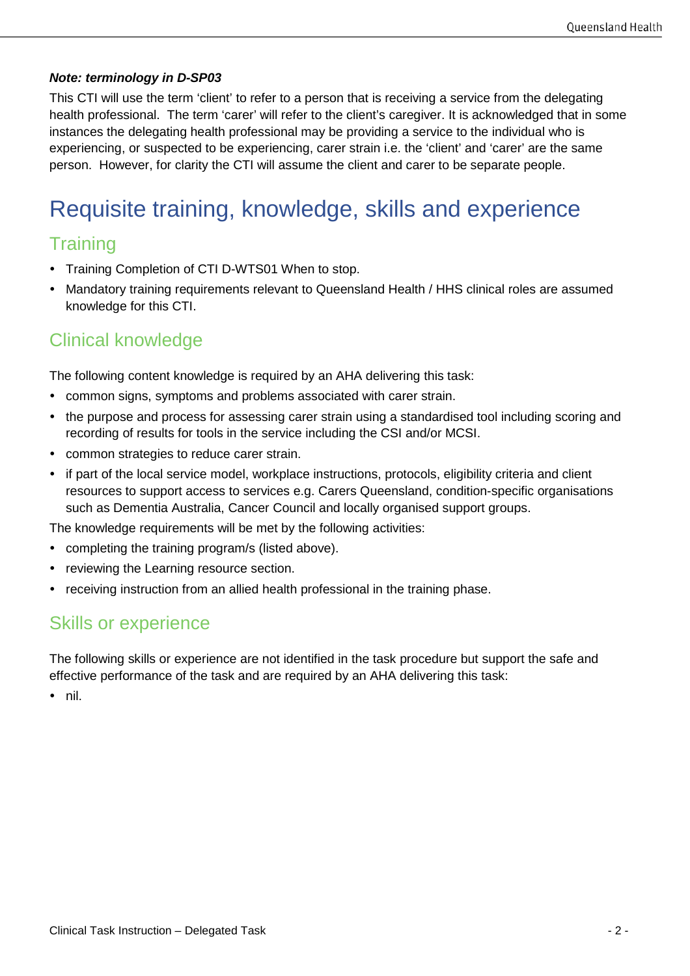### *Note: terminology in D-SP03*

This CTI will use the term 'client' to refer to a person that is receiving a service from the delegating health professional. The term 'carer' will refer to the client's caregiver. It is acknowledged that in some instances the delegating health professional may be providing a service to the individual who is experiencing, or suspected to be experiencing, carer strain i.e. the 'client' and 'carer' are the same person. However, for clarity the CTI will assume the client and carer to be separate people.

# Requisite training, knowledge, skills and experience

## **Training**

- Training Completion of CTI D-WTS01 When to stop.
- Mandatory training requirements relevant to Queensland Health / HHS clinical roles are assumed knowledge for this CTI.

## Clinical knowledge

The following content knowledge is required by an AHA delivering this task:

- common signs, symptoms and problems associated with carer strain.
- the purpose and process for assessing carer strain using a standardised tool including scoring and recording of results for tools in the service including the CSI and/or MCSI.
- common strategies to reduce carer strain.
- if part of the local service model, workplace instructions, protocols, eligibility criteria and client resources to support access to services e.g. Carers Queensland, condition-specific organisations such as Dementia Australia, Cancer Council and locally organised support groups.

The knowledge requirements will be met by the following activities:

- completing the training program/s (listed above).
- reviewing the Learning resource section.
- receiving instruction from an allied health professional in the training phase.

### Skills or experience

The following skills or experience are not identified in the task procedure but support the safe and effective performance of the task and are required by an AHA delivering this task:

• nil.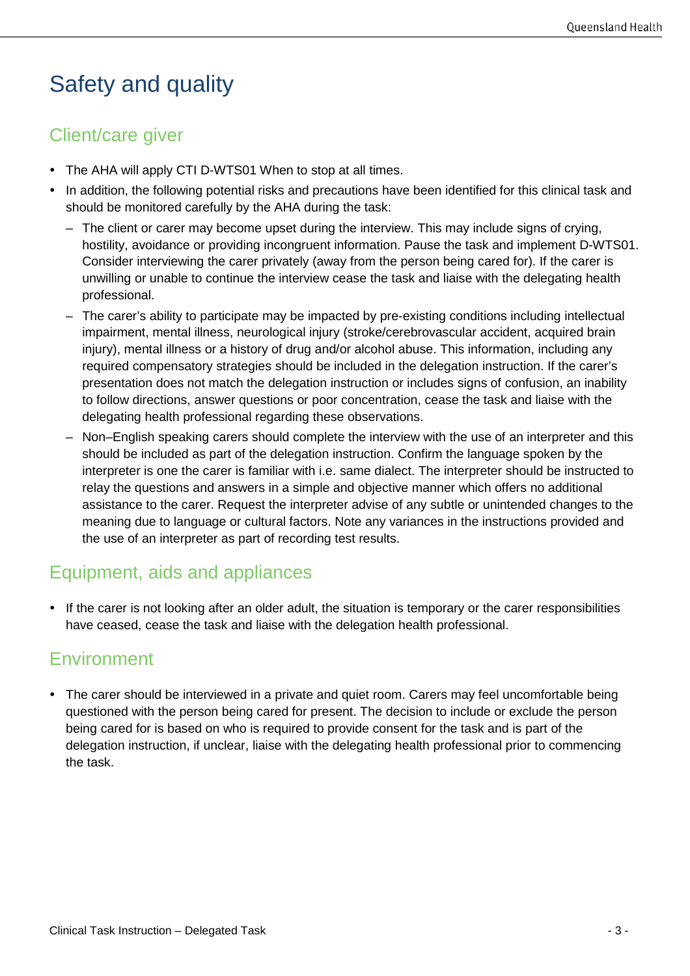# Safety and quality

## Client/care giver

- The AHA will apply CTI D-WTS01 When to stop at all times.
- In addition, the following potential risks and precautions have been identified for this clinical task and should be monitored carefully by the AHA during the task:
	- The client or carer may become upset during the interview. This may include signs of crying, hostility, avoidance or providing incongruent information. Pause the task and implement D-WTS01. Consider interviewing the carer privately (away from the person being cared for). If the carer is unwilling or unable to continue the interview cease the task and liaise with the delegating health professional.
	- The carer's ability to participate may be impacted by pre-existing conditions including intellectual impairment, mental illness, neurological injury (stroke/cerebrovascular accident, acquired brain injury), mental illness or a history of drug and/or alcohol abuse. This information, including any required compensatory strategies should be included in the delegation instruction. If the carer's presentation does not match the delegation instruction or includes signs of confusion, an inability to follow directions, answer questions or poor concentration, cease the task and liaise with the delegating health professional regarding these observations.
	- Non–English speaking carers should complete the interview with the use of an interpreter and this should be included as part of the delegation instruction. Confirm the language spoken by the interpreter is one the carer is familiar with i.e. same dialect. The interpreter should be instructed to relay the questions and answers in a simple and objective manner which offers no additional assistance to the carer. Request the interpreter advise of any subtle or unintended changes to the meaning due to language or cultural factors. Note any variances in the instructions provided and the use of an interpreter as part of recording test results.

## Equipment, aids and appliances

• If the carer is not looking after an older adult, the situation is temporary or the carer responsibilities have ceased, cease the task and liaise with the delegation health professional.

## **Environment**

• The carer should be interviewed in a private and quiet room. Carers may feel uncomfortable being questioned with the person being cared for present. The decision to include or exclude the person being cared for is based on who is required to provide consent for the task and is part of the delegation instruction, if unclear, liaise with the delegating health professional prior to commencing the task.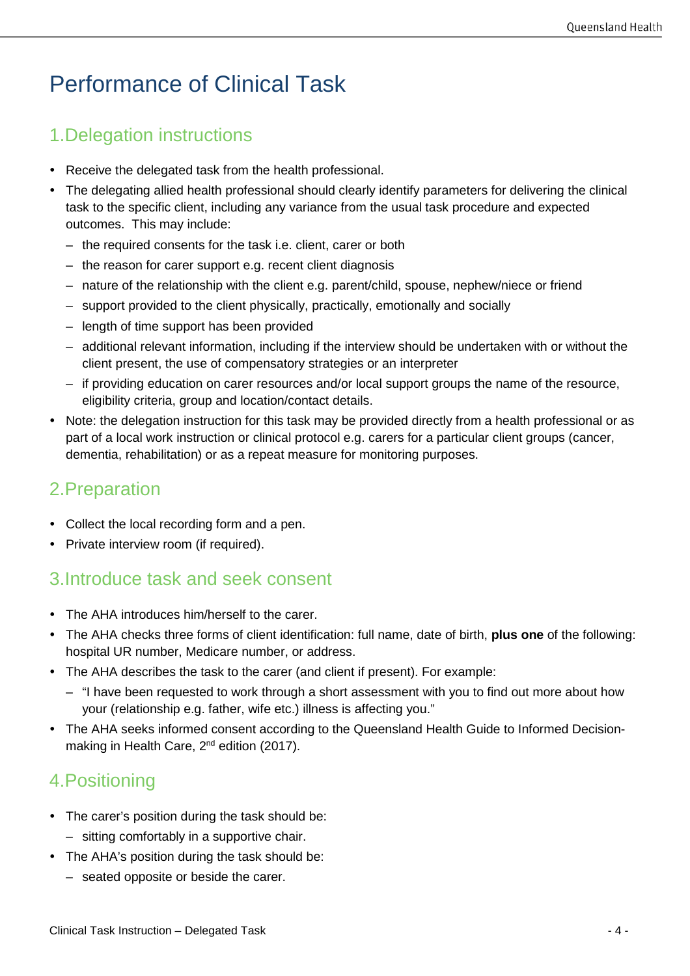# Performance of Clinical Task

## 1.Delegation instructions

- Receive the delegated task from the health professional.
- The delegating allied health professional should clearly identify parameters for delivering the clinical task to the specific client, including any variance from the usual task procedure and expected outcomes. This may include:
	- the required consents for the task i.e. client, carer or both
	- the reason for carer support e.g. recent client diagnosis
	- nature of the relationship with the client e.g. parent/child, spouse, nephew/niece or friend
	- support provided to the client physically, practically, emotionally and socially
	- length of time support has been provided
	- additional relevant information, including if the interview should be undertaken with or without the client present, the use of compensatory strategies or an interpreter
	- if providing education on carer resources and/or local support groups the name of the resource, eligibility criteria, group and location/contact details.
- Note: the delegation instruction for this task may be provided directly from a health professional or as part of a local work instruction or clinical protocol e.g. carers for a particular client groups (cancer, dementia, rehabilitation) or as a repeat measure for monitoring purposes.

## 2.Preparation

- Collect the local recording form and a pen.
- Private interview room (if required).

## 3.Introduce task and seek consent

- The AHA introduces him/herself to the carer.
- The AHA checks three forms of client identification: full name, date of birth, **plus one** of the following: hospital UR number, Medicare number, or address.
- The AHA describes the task to the carer (and client if present). For example:
	- "I have been requested to work through a short assessment with you to find out more about how your (relationship e.g. father, wife etc.) illness is affecting you."
- The AHA seeks informed consent according to the Queensland Health Guide to Informed Decisionmaking in Health Care, 2<sup>nd</sup> edition (2017).

## 4.Positioning

- The carer's position during the task should be:
	- sitting comfortably in a supportive chair.
- The AHA's position during the task should be:
	- seated opposite or beside the carer.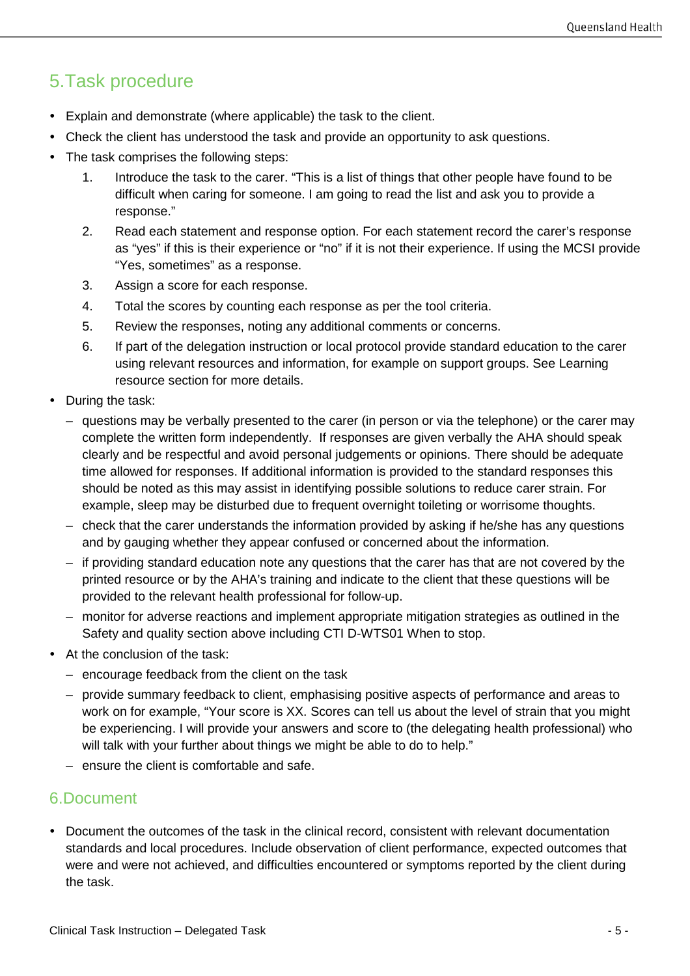## 5.Task procedure

- Explain and demonstrate (where applicable) the task to the client.
- Check the client has understood the task and provide an opportunity to ask questions.
- The task comprises the following steps:
	- 1. Introduce the task to the carer. "This is a list of things that other people have found to be difficult when caring for someone. I am going to read the list and ask you to provide a response."
	- 2. Read each statement and response option. For each statement record the carer's response as "yes" if this is their experience or "no" if it is not their experience. If using the MCSI provide "Yes, sometimes" as a response.
	- 3. Assign a score for each response.
	- 4. Total the scores by counting each response as per the tool criteria.
	- 5. Review the responses, noting any additional comments or concerns.
	- 6. If part of the delegation instruction or local protocol provide standard education to the carer using relevant resources and information, for example on support groups. See Learning resource section for more details.
- During the task:
	- questions may be verbally presented to the carer (in person or via the telephone) or the carer may complete the written form independently. If responses are given verbally the AHA should speak clearly and be respectful and avoid personal judgements or opinions. There should be adequate time allowed for responses. If additional information is provided to the standard responses this should be noted as this may assist in identifying possible solutions to reduce carer strain. For example, sleep may be disturbed due to frequent overnight toileting or worrisome thoughts.
	- check that the carer understands the information provided by asking if he/she has any questions and by gauging whether they appear confused or concerned about the information.
	- if providing standard education note any questions that the carer has that are not covered by the printed resource or by the AHA's training and indicate to the client that these questions will be provided to the relevant health professional for follow-up.
	- monitor for adverse reactions and implement appropriate mitigation strategies as outlined in the Safety and quality section above including CTI D-WTS01 When to stop.
- At the conclusion of the task:
	- encourage feedback from the client on the task
	- provide summary feedback to client, emphasising positive aspects of performance and areas to work on for example, "Your score is XX. Scores can tell us about the level of strain that you might be experiencing. I will provide your answers and score to (the delegating health professional) who will talk with your further about things we might be able to do to help."
	- ensure the client is comfortable and safe.

### 6.Document

 Document the outcomes of the task in the clinical record, consistent with relevant documentation standards and local procedures. Include observation of client performance, expected outcomes that were and were not achieved, and difficulties encountered or symptoms reported by the client during the task.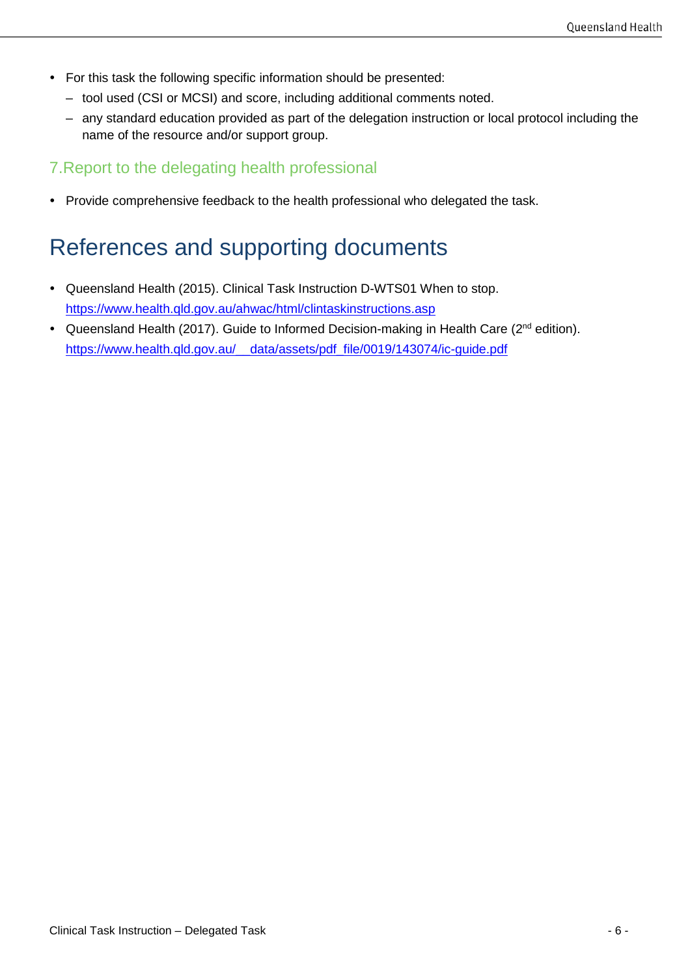- For this task the following specific information should be presented:
	- tool used (CSI or MCSI) and score, including additional comments noted.
	- any standard education provided as part of the delegation instruction or local protocol including the name of the resource and/or support group.

### 7.Report to the delegating health professional

• Provide comprehensive feedback to the health professional who delegated the task.

# References and supporting documents

- Queensland Health (2015). Clinical Task Instruction D-WTS01 When to stop. <https://www.health.qld.gov.au/ahwac/html/clintaskinstructions.asp>
- Queensland Health (2017). Guide to Informed Decision-making in Health Care (2<sup>nd</sup> edition). [https://www.health.qld.gov.au/\\_\\_data/assets/pdf\\_file/0019/143074/ic-guide.pdf](https://www.health.qld.gov.au/__data/assets/pdf_file/0019/143074/ic-guide.pdf)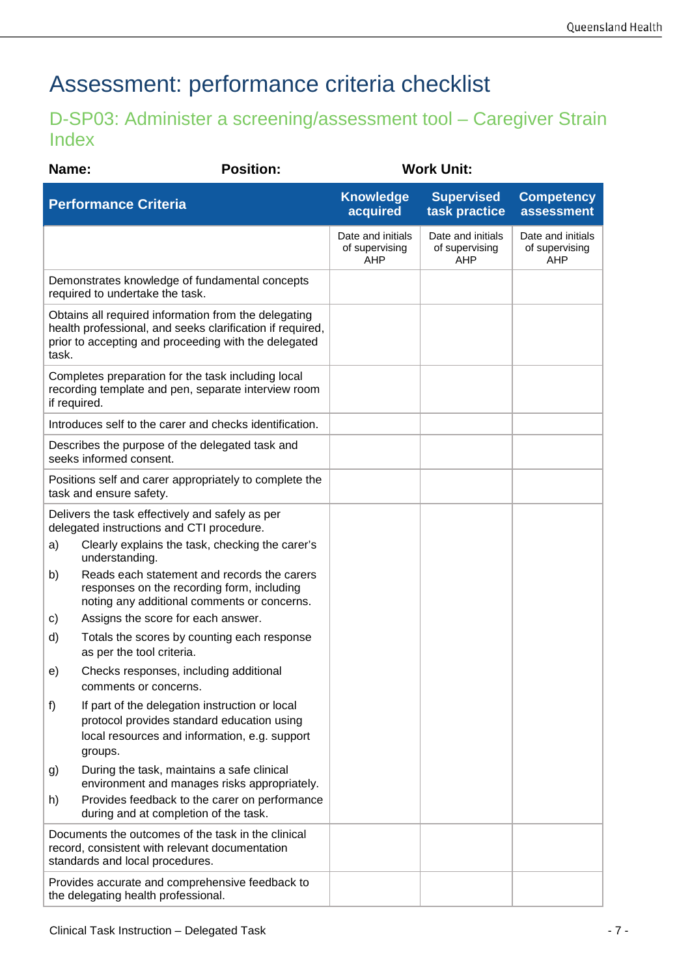# Assessment: performance criteria checklist

## D-SP03: Administer a screening/assessment tool – Caregiver Strain Index

| Name:                                                                                                                                                                              | <b>Position:</b>                                                                                                                                         |  | <b>Work Unit:</b>                          |                                            |                                            |
|------------------------------------------------------------------------------------------------------------------------------------------------------------------------------------|----------------------------------------------------------------------------------------------------------------------------------------------------------|--|--------------------------------------------|--------------------------------------------|--------------------------------------------|
|                                                                                                                                                                                    | <b>Performance Criteria</b>                                                                                                                              |  | <b>Knowledge</b><br>acquired               | <b>Supervised</b><br>task practice         | <b>Competency</b><br>assessment            |
|                                                                                                                                                                                    |                                                                                                                                                          |  | Date and initials<br>of supervising<br>AHP | Date and initials<br>of supervising<br>AHP | Date and initials<br>of supervising<br>AHP |
| Demonstrates knowledge of fundamental concepts<br>required to undertake the task.                                                                                                  |                                                                                                                                                          |  |                                            |                                            |                                            |
| Obtains all required information from the delegating<br>health professional, and seeks clarification if required,<br>prior to accepting and proceeding with the delegated<br>task. |                                                                                                                                                          |  |                                            |                                            |                                            |
| Completes preparation for the task including local<br>recording template and pen, separate interview room<br>if required.                                                          |                                                                                                                                                          |  |                                            |                                            |                                            |
|                                                                                                                                                                                    | Introduces self to the carer and checks identification.                                                                                                  |  |                                            |                                            |                                            |
| Describes the purpose of the delegated task and<br>seeks informed consent.                                                                                                         |                                                                                                                                                          |  |                                            |                                            |                                            |
| Positions self and carer appropriately to complete the<br>task and ensure safety.                                                                                                  |                                                                                                                                                          |  |                                            |                                            |                                            |
| Delivers the task effectively and safely as per<br>delegated instructions and CTI procedure.                                                                                       |                                                                                                                                                          |  |                                            |                                            |                                            |
| a)                                                                                                                                                                                 | Clearly explains the task, checking the carer's<br>understanding.                                                                                        |  |                                            |                                            |                                            |
| b)                                                                                                                                                                                 | Reads each statement and records the carers<br>responses on the recording form, including<br>noting any additional comments or concerns.                 |  |                                            |                                            |                                            |
| C)                                                                                                                                                                                 | Assigns the score for each answer.                                                                                                                       |  |                                            |                                            |                                            |
| d)                                                                                                                                                                                 | Totals the scores by counting each response<br>as per the tool criteria.                                                                                 |  |                                            |                                            |                                            |
| e)                                                                                                                                                                                 | Checks responses, including additional<br>comments or concerns.                                                                                          |  |                                            |                                            |                                            |
| f)                                                                                                                                                                                 | If part of the delegation instruction or local<br>protocol provides standard education using<br>local resources and information, e.g. support<br>groups. |  |                                            |                                            |                                            |
| g)                                                                                                                                                                                 | During the task, maintains a safe clinical<br>environment and manages risks appropriately.                                                               |  |                                            |                                            |                                            |
| h)                                                                                                                                                                                 | Provides feedback to the carer on performance<br>during and at completion of the task.                                                                   |  |                                            |                                            |                                            |
| Documents the outcomes of the task in the clinical<br>record, consistent with relevant documentation<br>standards and local procedures.                                            |                                                                                                                                                          |  |                                            |                                            |                                            |
|                                                                                                                                                                                    | Provides accurate and comprehensive feedback to<br>the delegating health professional.                                                                   |  |                                            |                                            |                                            |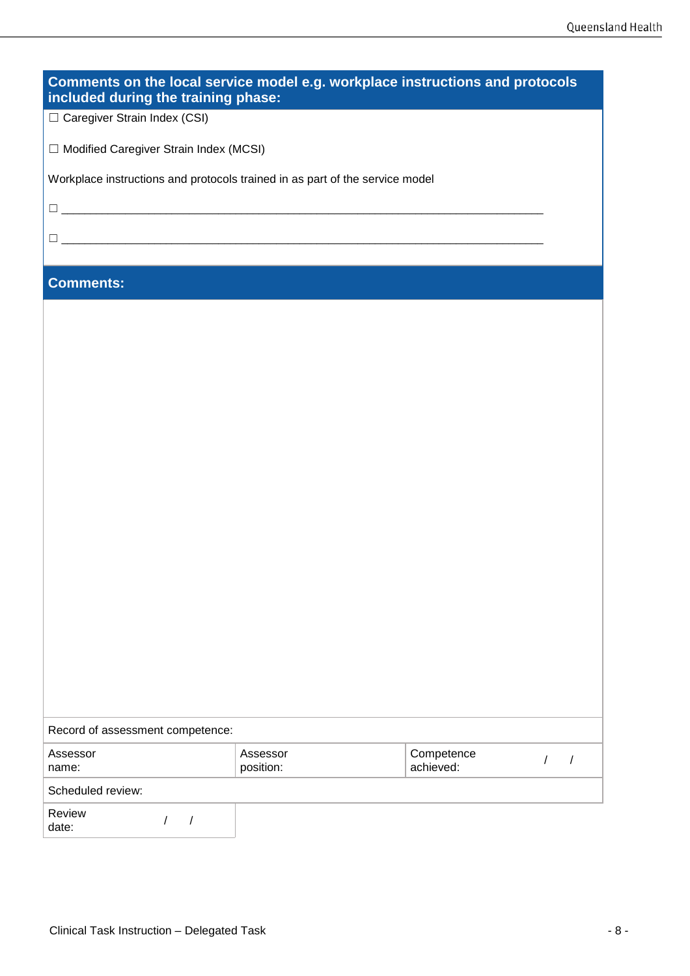| Comments on the local service model e.g. workplace instructions and protocols<br>included during the training phase: |                       |                                                     |  |  |  |
|----------------------------------------------------------------------------------------------------------------------|-----------------------|-----------------------------------------------------|--|--|--|
| □ Caregiver Strain Index (CSI)                                                                                       |                       |                                                     |  |  |  |
| □ Modified Caregiver Strain Index (MCSI)                                                                             |                       |                                                     |  |  |  |
| Workplace instructions and protocols trained in as part of the service model                                         |                       |                                                     |  |  |  |
|                                                                                                                      |                       |                                                     |  |  |  |
| <u> Alexandro de la contrada de la contrada de la contrada de la contrada de la contrada de la contrada de la co</u> |                       |                                                     |  |  |  |
| <b>Comments:</b>                                                                                                     |                       |                                                     |  |  |  |
|                                                                                                                      |                       |                                                     |  |  |  |
|                                                                                                                      |                       |                                                     |  |  |  |
|                                                                                                                      |                       |                                                     |  |  |  |
|                                                                                                                      |                       |                                                     |  |  |  |
|                                                                                                                      |                       |                                                     |  |  |  |
|                                                                                                                      |                       |                                                     |  |  |  |
|                                                                                                                      |                       |                                                     |  |  |  |
|                                                                                                                      |                       |                                                     |  |  |  |
|                                                                                                                      |                       |                                                     |  |  |  |
|                                                                                                                      |                       |                                                     |  |  |  |
|                                                                                                                      |                       |                                                     |  |  |  |
|                                                                                                                      |                       |                                                     |  |  |  |
|                                                                                                                      |                       |                                                     |  |  |  |
|                                                                                                                      |                       |                                                     |  |  |  |
|                                                                                                                      |                       |                                                     |  |  |  |
| Record of assessment competence:                                                                                     |                       |                                                     |  |  |  |
| Assessor<br>name:                                                                                                    | Assessor<br>position: | Competence<br>$\sqrt{2}$<br>$\sqrt{2}$<br>achieved: |  |  |  |
| Scheduled review:                                                                                                    |                       |                                                     |  |  |  |

| Review |  |
|--------|--|
| date:  |  |

 $\frac{1}{2}$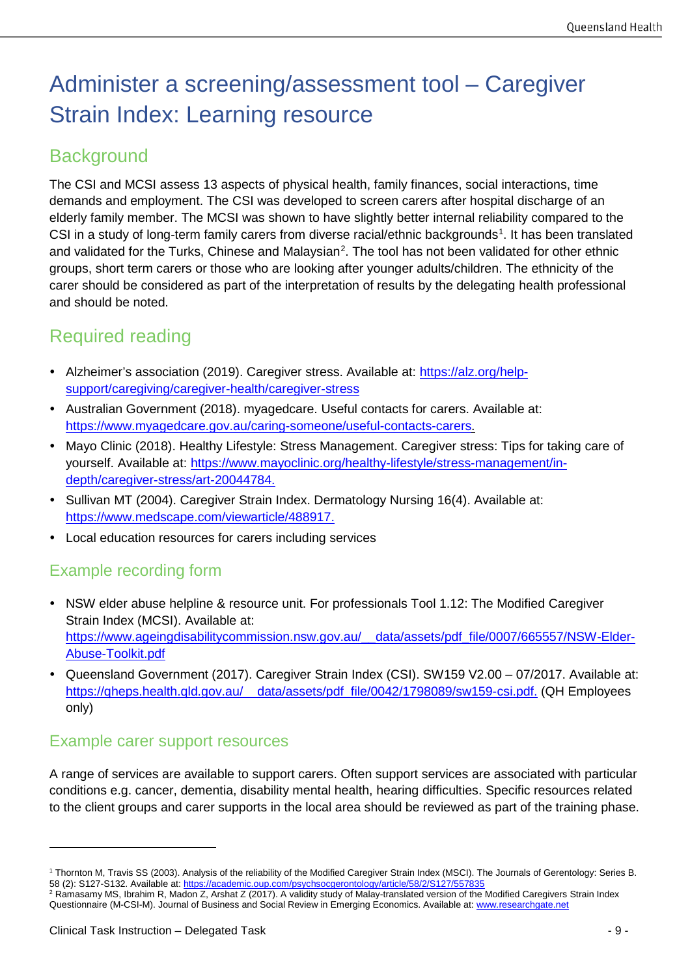# Administer a screening/assessment tool – Caregiver Strain Index: Learning resource

## **Background**

The CSI and MCSI assess 13 aspects of physical health, family finances, social interactions, time demands and employment. The CSI was developed to screen carers after hospital discharge of an elderly family member. The MCSI was shown to have slightly better internal reliability compared to the CSI in a study of long-term family carers from diverse racial/ethnic backgrounds<sup>[1](#page-8-0)</sup>. It has been translated and validated for the Turks, Chinese and Malaysian<sup>[2](#page-8-1)</sup>. The tool has not been validated for other ethnic groups, short term carers or those who are looking after younger adults/children. The ethnicity of the carer should be considered as part of the interpretation of results by the delegating health professional and should be noted.

## Required reading

- Alzheimer's association (2019). Caregiver stress. Available at: [https://alz.org/help](https://alz.org/help-support/caregiving/caregiver-health/caregiver-stress)[support/caregiving/caregiver-health/caregiver-stress](https://alz.org/help-support/caregiving/caregiver-health/caregiver-stress)
- Australian Government (2018). myagedcare. Useful contacts for carers. Available at: [https://www.myagedcare.gov.au/caring-someone/useful-contacts-carers.](https://www.myagedcare.gov.au/caring-someone/useful-contacts-carers)
- Mayo Clinic (2018). Healthy Lifestyle: Stress Management. Caregiver stress: Tips for taking care of yourself. Available at: [https://www.mayoclinic.org/healthy-lifestyle/stress-management/in](https://www.mayoclinic.org/healthy-lifestyle/stress-management/in-depth/caregiver-stress/art-20044784)[depth/caregiver-stress/art-20044784.](https://www.mayoclinic.org/healthy-lifestyle/stress-management/in-depth/caregiver-stress/art-20044784)
- Sullivan MT (2004). Caregiver Strain Index. Dermatology Nursing 16(4). Available at: [https://www.medscape.com/viewarticle/488917.](https://www.medscape.com/viewarticle/488917)
- Local education resources for carers including services

### Example recording form

- NSW elder abuse helpline & resource unit. For professionals Tool 1.12: The Modified Caregiver Strain Index (MCSI). Available at: [https://www.ageingdisabilitycommission.nsw.gov.au/\\_\\_data/assets/pdf\\_file/0007/665557/NSW-Elder-](https://www.ageingdisabilitycommission.nsw.gov.au/__data/assets/pdf_file/0007/665557/NSW-Elder-Abuse-Toolkit.pdf)[Abuse-Toolkit.pdf](https://www.ageingdisabilitycommission.nsw.gov.au/__data/assets/pdf_file/0007/665557/NSW-Elder-Abuse-Toolkit.pdf)
- Queensland Government (2017). Caregiver Strain Index (CSI). SW159 V2.00 07/2017. Available at: [https://qheps.health.qld.gov.au/\\_\\_data/assets/pdf\\_file/0042/1798089/sw159-csi.pdf.](https://qheps.health.qld.gov.au/__data/assets/pdf_file/0042/1798089/sw159-csi.pdf) (QH Employees only)

### Example carer support resources

A range of services are available to support carers. Often support services are associated with particular conditions e.g. cancer, dementia, disability mental health, hearing difficulties. Specific resources related to the client groups and carer supports in the local area should be reviewed as part of the training phase.

-

<span id="page-8-0"></span><sup>1</sup> Thornton M, Travis SS (2003). Analysis of the reliability of the Modified Caregiver Strain Index (MSCI). The Journals of Gerentology: Series B. 58 (2): S127-S132. Available at: https://academic.oup.com/psychsocgerontology/article/58/2/S127/557

<span id="page-8-1"></span><sup>&</sup>lt;sup>2</sup> Ramasamy MS, Ibrahim R, Madon Z, Arshat Z (2017). A validity study of Malay-translated version of the Modified Caregivers Strain Index Questionnaire (M-CSI-M). Journal of Business and Social Review in Emerging Economics. Available at: www.researchgate.net